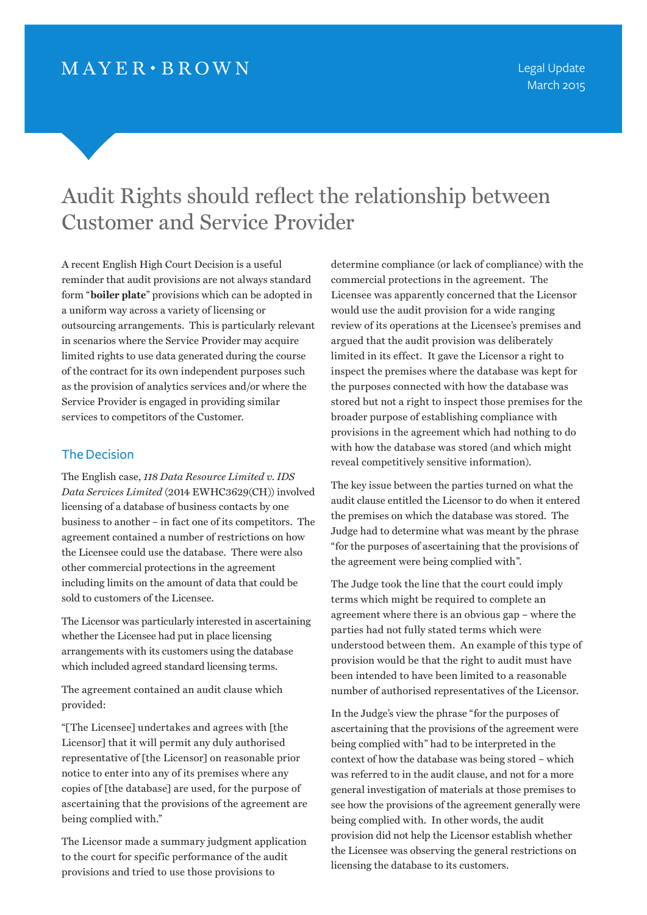# Audit Rights should reflect the relationship between Customer and Service Provider

A recent English High Court Decision is a useful reminder that audit provisions are not always standard form "**boiler plate**" provisions which can be adopted in a uniform way across a variety of licensing or outsourcing arrangements. This is particularly relevant in scenarios where the Service Provider may acquire limited rights to use data generated during the course of the contract for its own independent purposes such as the provision of analytics services and/or where the Service Provider is engaged in providing similar services to competitors of the Customer.

## The Decision

The English case, *118 Data Resource Limited v. IDS Data Services Limited* (2014 EWHC3629(CH)) involved licensing of a database of business contacts by one business to another – in fact one of its competitors. The agreement contained a number of restrictions on how the Licensee could use the database. There were also other commercial protections in the agreement including limits on the amount of data that could be sold to customers of the Licensee.

The Licensor was particularly interested in ascertaining whether the Licensee had put in place licensing arrangements with its customers using the database which included agreed standard licensing terms.

The agreement contained an audit clause which provided:

"[The Licensee] undertakes and agrees with [the Licensor] that it will permit any duly authorised representative of [the Licensor] on reasonable prior notice to enter into any of its premises where any copies of [the database] are used, for the purpose of ascertaining that the provisions of the agreement are being complied with."

The Licensor made a summary judgment application to the court for specific performance of the audit provisions and tried to use those provisions to

determine compliance (or lack of compliance) with the commercial protections in the agreement. The Licensee was apparently concerned that the Licensor would use the audit provision for a wide ranging review of its operations at the Licensee's premises and argued that the audit provision was deliberately limited in its effect. It gave the Licensor a right to inspect the premises where the database was kept for the purposes connected with how the database was stored but not a right to inspect those premises for the broader purpose of establishing compliance with provisions in the agreement which had nothing to do with how the database was stored (and which might reveal competitively sensitive information).

The key issue between the parties turned on what the audit clause entitled the Licensor to do when it entered the premises on which the database was stored. The Judge had to determine what was meant by the phrase "for the purposes of ascertaining that the provisions of the agreement were being complied with".

The Judge took the line that the court could imply terms which might be required to complete an agreement where there is an obvious gap – where the parties had not fully stated terms which were understood between them. An example of this type of provision would be that the right to audit must have been intended to have been limited to a reasonable number of authorised representatives of the Licensor.

In the Judge's view the phrase "for the purposes of ascertaining that the provisions of the agreement were being complied with" had to be interpreted in the context of how the database was being stored – which was referred to in the audit clause, and not for a more general investigation of materials at those premises to see how the provisions of the agreement generally were being complied with. In other words, the audit provision did not help the Licensor establish whether the Licensee was observing the general restrictions on licensing the database to its customers.